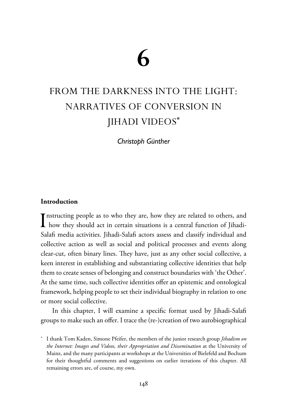# **6**

# FROM THE DARKNESS INTO THE LIGHT: NARRATIVES OF CONVERSION IN JIHADI VIDEOS**\***

*Christoph Günther*

# **Introduction**

Instructing people as to who they are, how they are related to others, and<br>how they should act in certain situations is a central function of Jihadi-**T** nstructing people as to who they are, how they are related to others, and Salafi media activities. Jihadi-Salafi actors assess and classify individual and collective action as well as social and political processes and events along clear-cut, often binary lines. They have, just as any other social collective, a keen interest in establishing and substantiating collective identities that help them to create senses of belonging and construct boundaries with 'the Other'. At the same time, such collective identities offer an epistemic and ontological framework, helping people to set their individual biography in relation to one or more social collective.

In this chapter, I will examine a specific format used by Jihadi-Salafi groups to make such an offer. I trace the (re-)creation of two autobiographical

\* I thank Tom Kaden, Simone Pfeifer, the members of the junior research group *Jihadism on the Internet: Images and Videos, their Appropriation and Dissemination* at the University of Mainz, and the many participants at workshops at the Universities of Bielefeld and Bochum for their thoughtful comments and suggestions on earlier iterations of this chapter. All remaining errors are, of course, my own.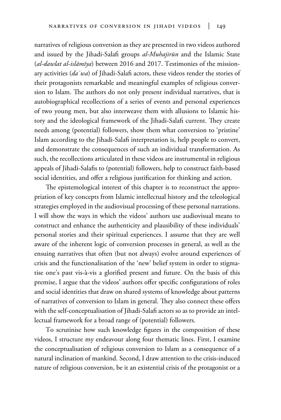narratives of religious conversion as they are presented in two videos authored and issued by the Jihadi-Salafi groups *al-Muhajirūn* and the Islamic State (*al-dawlat al-islāmīya*) between 2016 and 2017. Testimonies of the missionary activities (*daʿwa*) of Jihadi-Salafi actors, these videos render the stories of their protagonists remarkable and meaningful examples of religious conversion to Islam. The authors do not only present individual narratives, that is autobiographical recollections of a series of events and personal experiences of two young men, but also interweave them with allusions to Islamic history and the ideological framework of the Jihadi-Salafi current. They create needs among (potential) followers, show them what conversion to 'pristine' Islam according to the Jihadi-Salafi interpretation is, help people to convert, and demonstrate the consequences of such an individual transformation. As such, the recollections articulated in these videos are instrumental in religious appeals of Jihadi-Salafis to (potential) followers, help to construct faith-based social identities, and offer a religious justification for thinking and action.

The epistemological interest of this chapter is to reconstruct the appropriation of key concepts from Islamic intellectual history and the teleological strategies employed in the audiovisual processing of these personal narrations. I will show the ways in which the videos' authors use audiovisual means to construct and enhance the authenticity and plausibility of these individuals' personal stories and their spiritual experiences. I assume that they are well aware of the inherent logic of conversion processes in general, as well as the ensuing narratives that often (but not always) evolve around experiences of crisis and the functionalisation of the 'new' belief system in order to stigmatise one's past vis-à-vis a glorified present and future. On the basis of this premise, I argue that the videos' authors offer specific configurations of roles and social identities that draw on shared systems of knowledge about patterns of narratives of conversion to Islam in general. They also connect these offers with the self-conceptualisation of Jihadi-Salafi actors so as to provide an intellectual framework for a broad range of (potential) followers.

To scrutinise how such knowledge figures in the composition of these videos, I structure my endeavour along four thematic lines. First, I examine the conceptualisation of religious conversion to Islam as a consequence of a natural inclination of mankind. Second, I draw attention to the crisis-induced nature of religious conversion, be it an existential crisis of the protagonist or a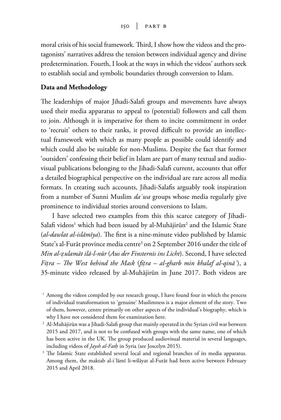moral crisis of his social framework. Third, I show how the videos and the protagonists' narratives address the tension between individual agency and divine predetermination. Fourth, I look at the ways in which the videos' authors seek to establish social and symbolic boundaries through conversion to Islam.

### **Data and Methodology**

The leaderships of major Jihadi-Salafi groups and movements have always used their media apparatus to appeal to (potential) followers and call them to join. Although it is imperative for them to incite commitment in order to 'recruit' others to their ranks, it proved difficult to provide an intellectual framework with which as many people as possible could identify and which could also be suitable for non-Muslims. Despite the fact that former 'outsiders' confessing their belief in Islam are part of many textual and audiovisual publications belonging to the Jihadi-Salafi current, accounts that offer a detailed biographical perspective on the individual are rare across all media formats. In creating such accounts, Jihadi-Salafis arguably took inspiration from a number of Sunni Muslim *daʿwa* groups whose media regularly give prominence to individual stories around conversions to Islam.

I have selected two examples from this this scarce category of Jihadi-Salafi videos<sup>1</sup> which had been issued by al-Muhājirūn<sup>2</sup> and the Islamic State (*al-dawlat al-islāmīya*). The first is a nine-minute video published by Islamic State's al-Furāt province media centre<sup>3</sup> on 2 September 2016 under the title of *Min al-Õulamāt ilā-l-nūr* (*Aus der Finsternis ins Licht*). Second, I have selected *Fi†ra – The West behind the Mask* (*fi†ra – al-gharb min khalaf al-qināʿ*), a 35-minute video released by al-Muhājirūn in June 2017. Both videos are

<sup>&</sup>lt;sup>1</sup> Among the videos compiled by our research group, I have found four in which the process of individual transformation to 'genuine' Muslimness is a major element of the story. Two of them, however, centre primarily on other aspects of the individual's biography, which is why I have not considered them for examination here.

 $<sup>2</sup>$  Al-Muhājirūn was a Jihadi-Salafi group that mainly operated in the Syrian civil war between</sup> 2015 and 2017, and is not to be confused with groups with the same name, one of which has been active in the UK. The group produced audiovisual material in several languages, including videos of *Jaysh al-Fath* in Syria (see Joscelyn 2015).

<sup>&</sup>lt;sup>3</sup> The Islamic State established several local and regional branches of its media apparatus. Among them, the maktab al-iʿlāmī li-wilāyat al-Furāt had been active between February 2015 and April 2018.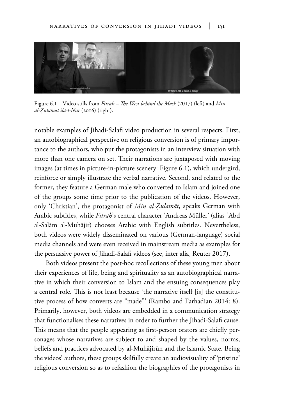

Figure 6.1 Video stills from *Fitrah – The West behind the Mask* (2017) (left) and *Min al-Êulamāt ilā-l-Nūr* (2016) (right).

notable examples of Jihadi-Salafi video production in several respects. First, an autobiographical perspective on religious conversion is of primary importance to the authors, who put the protagonists in an interview situation with more than one camera on set. Their narrations are juxtaposed with moving images (at times in picture-in-picture scenery: Figure 6.1), which undergird, reinforce or simply illustrate the verbal narrative. Second, and related to the former, they feature a German male who converted to Islam and joined one of the groups some time prior to the publication of the videos. However, only 'Christian', the protagonist of *Min al-Êulamāt*, speaks German with Arabic subtitles, while *Fitrah*'s central character 'Andreas Müller' (alias ʿAbd al-Salām al-Muhājir) chooses Arabic with English subtitles. Nevertheless, both videos were widely disseminated on various (German-language) social media channels and were even received in mainstream media as examples for the persuasive power of Jihadi-Salafi videos (see, inter alia, Reuter 2017).

Both videos present the post-hoc recollections of these young men about their experiences of life, being and spirituality as an autobiographical narrative in which their conversion to Islam and the ensuing consequences play a central role. This is not least because 'the narrative itself [is] the constitutive process of how converts are "made"' (Rambo and Farhadian 2014: 8). Primarily, however, both videos are embedded in a communication strategy that functionalises these narratives in order to further the Jihadi-Salafi cause. This means that the people appearing as first-person orators are chiefly personages whose narratives are subject to and shaped by the values, norms, beliefs and practices advocated by al-Muhājirūn and the Islamic State. Being the videos' authors, these groups skilfully create an audiovisuality of 'pristine' religious conversion so as to refashion the biographies of the protagonists in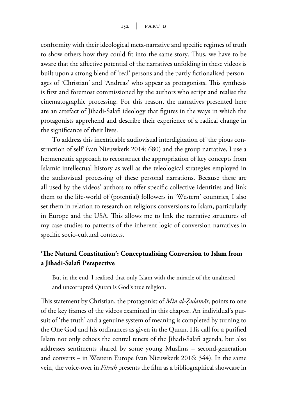conformity with their ideological meta-narrative and specific regimes of truth to show others how they could fit into the same story. Thus, we have to be aware that the affective potential of the narratives unfolding in these videos is built upon a strong blend of 'real' persons and the partly fictionalised personages of 'Christian' and 'Andreas' who appear as protagonists. This synthesis is first and foremost commissioned by the authors who script and realise the cinematographic processing. For this reason, the narratives presented here are an artefact of Jihadi-Salafi ideology that figures in the ways in which the protagonists apprehend and describe their experience of a radical change in the significance of their lives.

To address this inextricable audiovisual interdigitation of 'the pious construction of self' (van Nieuwkerk 2014: 680) and the group narrative, I use a hermeneutic approach to reconstruct the appropriation of key concepts from Islamic intellectual history as well as the teleological strategies employed in the audiovisual processing of these personal narrations. Because these are all used by the videos' authors to offer specific collective identities and link them to the life-world of (potential) followers in 'Western' countries, I also set them in relation to research on religious conversions to Islam, particularly in Europe and the USA. This allows me to link the narrative structures of my case studies to patterns of the inherent logic of conversion narratives in specific socio-cultural contexts.

# **'The Natural Constitution': Conceptualising Conversion to Islam from a Jihadi-Salafi Perspective**

But in the end, I realised that only Islam with the miracle of the unaltered and uncorrupted Quran is God's true religion.

This statement by Christian, the protagonist of *Min al-Êulamāt*, points to one of the key frames of the videos examined in this chapter. An individual's pursuit of 'the truth' and a genuine system of meaning is completed by turning to the One God and his ordinances as given in the Quran. His call for a purified Islam not only echoes the central tenets of the Jihadi-Salafi agenda, but also addresses sentiments shared by some young Muslims – second-generation and converts – in Western Europe (van Nieuwkerk 2016: 344). In the same vein, the voice-over in *Fitrah* presents the film as a bibliographical showcase in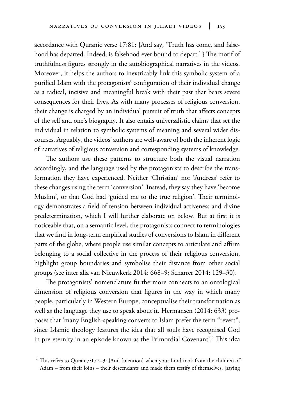accordance with Quranic verse 17:81: {And say, 'Truth has come, and falsehood has departed. Indeed, is falsehood ever bound to depart.' } The motif of truthfulness figures strongly in the autobiographical narratives in the videos. Moreover, it helps the authors to inextricably link this symbolic system of a purified Islam with the protagonists' configuration of their individual change as a radical, incisive and meaningful break with their past that bears severe consequences for their lives. As with many processes of religious conversion, their change is charged by an individual pursuit of truth that affects concepts of the self and one's biography. It also entails universalistic claims that set the individual in relation to symbolic systems of meaning and several wider discourses. Arguably, the videos' authors are well-aware of both the inherent logic of narratives of religious conversion and corresponding systems of knowledge.

The authors use these patterns to structure both the visual narration accordingly, and the language used by the protagonists to describe the transformation they have experienced. Neither 'Christian' nor 'Andreas' refer to these changes using the term 'conversion'. Instead, they say they have 'become Muslim', or that God had 'guided me to the true religion'. Their terminology demonstrates a field of tension between individual activeness and divine predetermination, which I will further elaborate on below. But at first it is noticeable that, on a semantic level, the protagonists connect to terminologies that we find in long-term empirical studies of conversions to Islam in different parts of the globe, where people use similar concepts to articulate and affirm belonging to a social collective in the process of their religious conversion, highlight group boundaries and symbolise their distance from other social groups (see inter alia van Nieuwkerk 2014: 668–9; Scharrer 2014: 129–30).

The protagonists' nomenclature furthermore connects to an ontological dimension of religious conversion that figures in the way in which many people, particularly in Western Europe, conceptualise their transformation as well as the language they use to speak about it. Hermansen (2014: 633) proposes that 'many English-speaking converts to Islam prefer the term "revert", since Islamic theology features the idea that all souls have recognised God in pre-eternity in an episode known as the Primordial Covenant'.4 This idea

<sup>4</sup> This refers to Quran 7:172–3: {And [mention] when your Lord took from the children of Adam – from their loins – their descendants and made them testify of themselves, [saying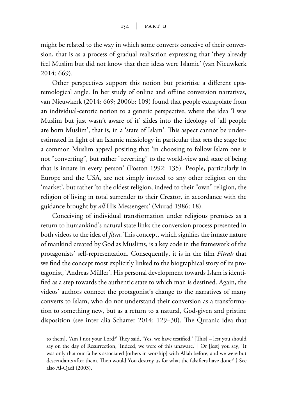might be related to the way in which some converts conceive of their conversion, that is as a process of gradual realisation expressing that 'they already feel Muslim but did not know that their ideas were Islamic' (van Nieuwkerk 2014: 669).

Other perspectives support this notion but prioritise a different epistemological angle. In her study of online and offline conversion narratives, van Nieuwkerk (2014: 669; 2006b: 109) found that people extrapolate from an individual-centric notion to a generic perspective, where the idea 'I was Muslim but just wasn't aware of it' slides into the ideology of 'all people are born Muslim', that is, in a 'state of Islam'. This aspect cannot be underestimated in light of an Islamic missiology in particular that sets the stage for a common Muslim appeal positing that 'in choosing to follow Islam one is not "converting", but rather "reverting" to the world-view and state of being that is innate in every person' (Poston 1992: 135). People, particularly in Europe and the USA, are not simply invited to any other religion on the 'market', but rather 'to the oldest religion, indeed to their "own" religion, the religion of living in total surrender to their Creator, in accordance with the guidance brought by *all* His Messengers' (Murad 1986: 18).

Conceiving of individual transformation under religious premises as a return to humankind's natural state links the conversion process presented in both videos to the idea of *fi†ra*. This concept, which signifies the innate nature of mankind created by God as Muslims, is a key code in the framework of the protagonists' self-representation. Consequently, it is in the film *Fitrah* that we find the concept most explicitly linked to the biographical story of its protagonist, 'Andreas Müller'. His personal development towards Islam is identified as a step towards the authentic state to which man is destined. Again, the videos' authors connect the protagonist's change to the narratives of many converts to Islam, who do not understand their conversion as a transformation to something new, but as a return to a natural, God-given and pristine disposition (see inter alia Scharrer 2014: 129–30). The Quranic idea that

to them], 'Am I not your Lord?' They said, 'Yes, we have testified.' [This] – lest you should say on the day of Resurrection, 'Indeed, we were of this unaware.' | Or [lest] you say, 'It was only that our fathers associated [others in worship] with Allah before, and we were but descendants after them. Then would You destroy us for what the falsifiers have done?'.} See also Al-Qadi (2003).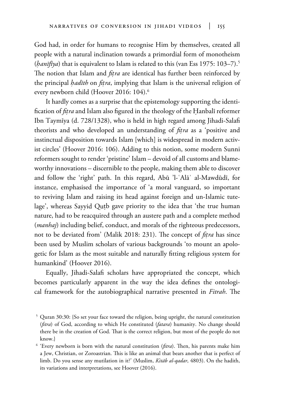God had, in order for humans to recognise Him by themselves, created all people with a natural inclination towards a primordial form of monotheism (*banīfīya*) that is equivalent to Islam is related to this (van Ess 1975: 103-7).<sup>5</sup> The notion that Islam and *fi†ra* are identical has further been reinforced by the principal *hadīth* on *fitra*, implying that Islam is the universal religion of every newborn child (Hoover 2016: 104).<sup>6</sup>

It hardly comes as a surprise that the epistemology supporting the identification of *fitra* and Islam also figured in the theology of the Hanbalī reformer Ibn Taymīya (d. 728/1328), who is held in high regard among Jihadi-Salafi theorists and who developed an understanding of *fi†ra* as a 'positive and instinctual disposition towards Islam [which] is widespread in modern activist circles' (Hoover 2016: 106). Adding to this notion, some modern Sunni reformers sought to render 'pristine' Islam – devoid of all customs and blameworthy innovations – discernible to the people, making them able to discover and follow the 'right' path. In this regard, Abū 'l-ʿAlāʾ al-Mawdūdī, for instance, emphasised the importance of 'a moral vanguard, so important to reviving Islam and raising its head against foreign and un-Islamic tutelage', whereas Sayyid Qutb gave priority to the idea that 'the true human nature, had to be reacquired through an austere path and a complete method (*manhaj*) including belief, conduct, and morals of the righteous predecessors, not to be deviated from' (Malik 2018: 231). The concept of *fi†ra* has since been used by Muslim scholars of various backgrounds 'to mount an apologetic for Islam as the most suitable and naturally fitting religious system for humankind' (Hoover 2016).

Equally, Jihadi-Salafi scholars have appropriated the concept, which becomes particularly apparent in the way the idea defines the ontological framework for the autobiographical narrative presented in *Fitrah*. The

<sup>5</sup> Quran 30:30: {So set your face toward the religion, being upright, the natural constitution (*fitra*) of God, according to which He constituted (*fatara*) humanity. No change should there be in the creation of God. That is the correct religion, but most of the people do not know.}

<sup>6</sup> 'Every newborn is born with the natural constitution (*fitra*). Then, his parents make him a Jew, Christian, or Zoroastrian. This is like an animal that bears another that is perfect of limb. Do you sense any mutilation in it?' (Muslim, *Kitāb al-qadar*, 4803). On the hadith, its variations and interpretations, see Hoover (2016).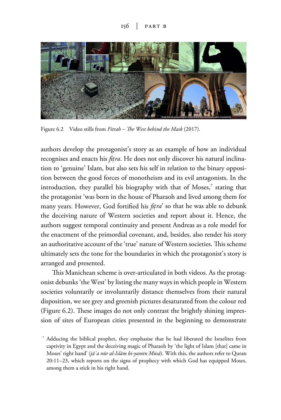

Figure 6.2 Video stills from *Fitrah – The West behind the Mask* (2017).

authors develop the protagonist's story as an example of how an individual recognises and enacts his *fi†ra*. He does not only discover his natural inclination to 'genuine' Islam, but also sets his self in relation to the binary opposition between the good forces of monotheism and its evil antagonists. In the introduction, they parallel his biography with that of Moses, $^\tau$  stating that the protagonist 'was born in the house of Pharaoh and lived among them for many years. However, God fortified his *fi†ra*' so that he was able to debunk the deceiving nature of Western societies and report about it. Hence, the authors suggest temporal continuity and present Andreas as a role model for the enactment of the primordial covenant, and, besides, also render his story an authoritative account of the 'true' nature of Western societies. This scheme ultimately sets the tone for the boundaries in which the protagonist's story is arranged and presented.

This Manichean scheme is over-articulated in both videos. As the protagonist debunks 'the West' by listing the many ways in which people in Western societies voluntarily or involuntarily distance themselves from their natural disposition, we see grey and greenish pictures desaturated from the colour red (Figure 6.2). These images do not only contrast the brightly shining impression of sites of European cities presented in the beginning to demonstrate

<sup>7</sup> Adducing the biblical prophet, they emphasise that he had liberated the Israelites from captivity in Egypt and the deceiving magic of Pharaoh by 'the light of Islam [that] came in Moses' right hand' (*jāʾa nūr al-Islām bi-yamīn Mūsā*). With this, the authors refer to Quran 20:11–23, which reports on the signs of prophecy with which God has equipped Moses, among them a stick in his right hand.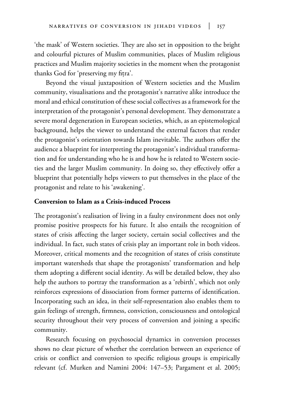'the mask' of Western societies. They are also set in opposition to the bright and colourful pictures of Muslim communities, places of Muslim religious practices and Muslim majority societies in the moment when the protagonist thanks God for 'preserving my fitra'.

Beyond the visual juxtaposition of Western societies and the Muslim community, visualisations and the protagonist's narrative alike introduce the moral and ethical constitution of these social collectives as a framework for the interpretation of the protagonist's personal development. They demonstrate a severe moral degeneration in European societies, which, as an epistemological background, helps the viewer to understand the external factors that render the protagonist's orientation towards Islam inevitable. The authors offer the audience a blueprint for interpreting the protagonist's individual transformation and for understanding who he is and how he is related to Western societies and the larger Muslim community. In doing so, they effectively offer a blueprint that potentially helps viewers to put themselves in the place of the protagonist and relate to his 'awakening'.

## **Conversion to Islam as a Crisis-induced Process**

The protagonist's realisation of living in a faulty environment does not only promise positive prospects for his future. It also entails the recognition of states of crisis affecting the larger society, certain social collectives and the individual. In fact, such states of crisis play an important role in both videos. Moreover, critical moments and the recognition of states of crisis constitute important watersheds that shape the protagonists' transformation and help them adopting a different social identity. As will be detailed below, they also help the authors to portray the transformation as a 'rebirth', which not only reinforces expressions of dissociation from former patterns of identification. Incorporating such an idea, in their self-representation also enables them to gain feelings of strength, firmness, conviction, consciousness and ontological security throughout their very process of conversion and joining a specific community.

Research focusing on psychosocial dynamics in conversion processes shows no clear picture of whether the correlation between an experience of crisis or conflict and conversion to specific religious groups is empirically relevant (cf. Murken and Namini 2004: 147–53; Pargament et al. 2005;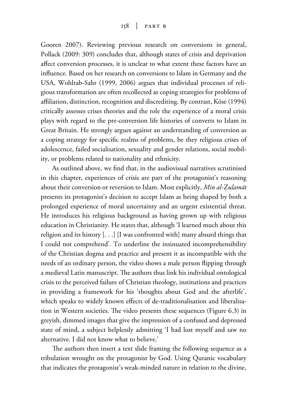Gooren 2007). Reviewing previous research on conversions in general, Pollack (2009: 309) concludes that, although states of crisis and deprivation affect conversion processes, it is unclear to what extent these factors have an influence. Based on her research on conversions to Islam in Germany and the USA, Wohlrab-Sahr (1999, 2006) argues that individual processes of religious transformation are often recollected as coping strategies for problems of affiliation, distinction, recognition and discrediting. By contrast, Köse (1994) critically assesses crises theories and the role the experience of a moral crisis plays with regard to the pre-conversion life histories of converts to Islam in Great Britain. He strongly argues against an understanding of conversion as a coping strategy for specific realms of problems, be they religious crises of adolescence, failed socialisation, sexuality and gender relations, social mobility, or problems related to nationality and ethnicity.

As outlined above, we find that, in the audiovisual narratives scrutinised in this chapter, experiences of crisis are part of the protagonist's reasoning about their conversion or reversion to Islam. Most explicitly, *Min al-Êulamāt* presents its protagonist's decision to accept Islam as being shaped by both a prolonged experience of moral uncertainty and an urgent existential threat. He introduces his religious background as having grown up with religious education in Christianity. He states that, although 'I learned much about this religion and its history [. . .] [I was confronted with] many absurd things that I could not comprehend'. To underline the insinuated incomprehensibility of the Christian dogma and practice and present it as incompatible with the needs of an ordinary person, the video shows a male person flipping through a medieval Latin manuscript. The authors thus link his individual ontological crisis to the perceived failure of Christian theology, institutions and practices in providing a framework for his 'thoughts about God and the afterlife', which speaks to widely known effects of de-traditionalisation and liberalisation in Western societies. The video presents these sequences (Figure 6.3) in greyish, dimmed images that give the impression of a confused and depressed state of mind, a subject helplessly admitting 'I had lost myself and saw no alternative. I did not know what to believe.'

The authors then insert a text slide framing the following sequence as a tribulation wrought on the protagonist by God. Using Quranic vocabulary that indicates the protagonist's weak-minded nature in relation to the divine,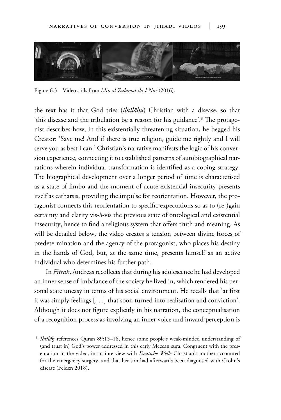

Figure 6.3 Video stills from *Min al-Êulamāt ilā-l-Nūr* (2016).

the text has it that God tries (*ibtilāhu*) Christian with a disease, so that 'this disease and the tribulation be a reason for his guidance'.8 The protagonist describes how, in this existentially threatening situation, he begged his Creator: 'Save me! And if there is true religion, guide me rightly and I will serve you as best I can.' Christian's narrative manifests the logic of his conversion experience, connecting it to established patterns of autobiographical narrations wherein individual transformation is identified as a coping strategy. The biographical development over a longer period of time is characterised as a state of limbo and the moment of acute existential insecurity presents itself as catharsis, providing the impulse for reorientation. However, the protagonist connects this reorientation to specific expectations so as to (re-)gain certainty and clarity vis-à-vis the previous state of ontological and existential insecurity, hence to find a religious system that offers truth and meaning. As will be detailed below, the video creates a tension between divine forces of predetermination and the agency of the protagonist, who places his destiny in the hands of God, but, at the same time, presents himself as an active individual who determines his further path.

In *Fitrah*, Andreas recollects that during his adolescence he had developed an inner sense of imbalance of the society he lived in, which rendered his personal state uneasy in terms of his social environment. He recalls that 'at first it was simply feelings [. . .] that soon turned into realisation and conviction'. Although it does not figure explicitly in his narration, the conceptualisation of a recognition process as involving an inner voice and inward perception is

<sup>8</sup> *Ibtilāª* references Quran 89:15–16, hence some people's weak-minded understanding of (and trust in) God's power addressed in this early Meccan sura. Congruent with the presentation in the video, in an interview with *Deutsche Welle* Christian's mother accounted for the emergency surgery, and that her son had afterwards been diagnosed with Crohn's disease (Felden 2018).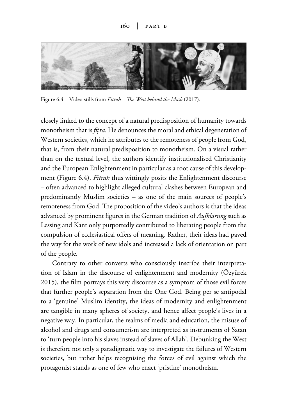

Figure 6.4 Video stills from *Fitrah – The West behind the Mask* (2017).

closely linked to the concept of a natural predisposition of humanity towards monotheism that is *fi†ra*. He denounces the moral and ethical degeneration of Western societies, which he attributes to the remoteness of people from God, that is, from their natural predisposition to monotheism. On a visual rather than on the textual level, the authors identify institutionalised Christianity and the European Enlightenment in particular as a root cause of this development (Figure 6.4). *Fitrah* thus wittingly posits the Enlightenment discourse – often advanced to highlight alleged cultural clashes between European and predominantly Muslim societies – as one of the main sources of people's remoteness from God. The proposition of the video's authors is that the ideas advanced by prominent figures in the German tradition of *Aufklärung* such as Lessing and Kant only purportedly contributed to liberating people from the compulsion of ecclesiastical offers of meaning. Rather, their ideas had paved the way for the work of new idols and increased a lack of orientation on part of the people.

Contrary to other converts who consciously inscribe their interpretation of Islam in the discourse of enlightenment and modernity (Özyürek 2015), the film portrays this very discourse as a symptom of those evil forces that further people's separation from the One God. Being per se antipodal to a 'genuine' Muslim identity, the ideas of modernity and enlightenment are tangible in many spheres of society, and hence affect people's lives in a negative way. In particular, the realms of media and education, the misuse of alcohol and drugs and consumerism are interpreted as instruments of Satan to 'turn people into his slaves instead of slaves of Allah'. Debunking the West is therefore not only a paradigmatic way to investigate the failures of Western societies, but rather helps recognising the forces of evil against which the protagonist stands as one of few who enact 'pristine' monotheism.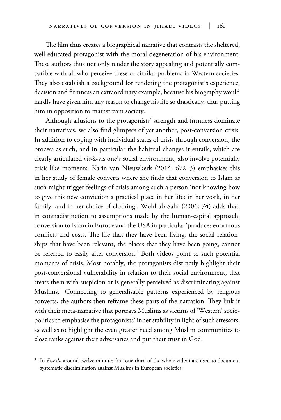The film thus creates a biographical narrative that contrasts the sheltered, well-educated protagonist with the moral degeneration of his environment. These authors thus not only render the story appealing and potentially compatible with all who perceive these or similar problems in Western societies. They also establish a background for rendering the protagonist's experience, decision and firmness an extraordinary example, because his biography would hardly have given him any reason to change his life so drastically, thus putting him in opposition to mainstream society.

Although allusions to the protagonists' strength and firmness dominate their narratives, we also find glimpses of yet another, post-conversion crisis. In addition to coping with individual states of crisis through conversion, the process as such, and in particular the habitual changes it entails, which are clearly articulated vis-à-vis one's social environment, also involve potentially crisis-like moments. Karin van Nieuwkerk (2014: 672–3) emphasises this in her study of female converts where she finds that conversion to Islam as such might trigger feelings of crisis among such a person 'not knowing how to give this new conviction a practical place in her life: in her work, in her family, and in her choice of clothing'. Wohlrab-Sahr (2006: 74) adds that, in contradistinction to assumptions made by the human-capital approach, conversion to Islam in Europe and the USA in particular 'produces enormous conflicts and costs. The life that they have been living, the social relationships that have been relevant, the places that they have been going, cannot be referred to easily after conversion.' Both videos point to such potential moments of crisis. Most notably, the protagonists distinctly highlight their post-conversional vulnerability in relation to their social environment, that treats them with suspicion or is generally perceived as discriminating against Muslims.9 Connecting to generalisable patterns experienced by religious converts, the authors then reframe these parts of the narration. They link it with their meta-narrative that portrays Muslims as victims of 'Western' sociopolitics to emphasise the protagonists' inner stability in light of such stressors, as well as to highlight the even greater need among Muslim communities to close ranks against their adversaries and put their trust in God.

<sup>9</sup> In *Fitrah*, around twelve minutes (i.e. one third of the whole video) are used to document systematic discrimination against Muslims in European societies.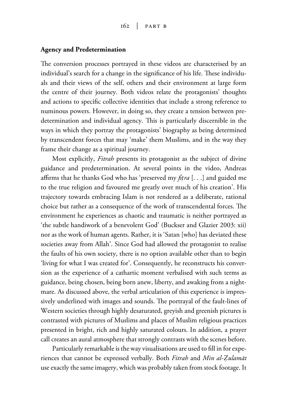#### **Agency and Predetermination**

The conversion processes portrayed in these videos are characterised by an individual's search for a change in the significance of his life. These individuals and their views of the self, others and their environment at large form the centre of their journey. Both videos relate the protagonists' thoughts and actions to specific collective identities that include a strong reference to numinous powers. However, in doing so, they create a tension between predetermination and individual agency. This is particularly discernible in the ways in which they portray the protagonists' biography as being determined by transcendent forces that may 'make' them Muslims, and in the way they frame their change as a spiritual journey.

Most explicitly, *Fitrah* presents its protagonist as the subject of divine guidance and predetermination. At several points in the video, Andreas affirms that he thanks God who has 'preserved my *fi†ra* [. . .] and guided me to the true religion and favoured me greatly over much of his creation'. His trajectory towards embracing Islam is not rendered as a deliberate, rational choice but rather as a consequence of the work of transcendental forces. The environment he experiences as chaotic and traumatic is neither portrayed as 'the subtle handiwork of a benevolent God' (Buckser and Glazier 2003: xii) nor as the work of human agents. Rather, it is 'Satan [who] has deviated these societies away from Allah'. Since God had allowed the protagonist to realise the faults of his own society, there is no option available other than to begin 'living for what I was created for'. Consequently, he reconstructs his conversion as the experience of a cathartic moment verbalised with such terms as guidance, being chosen, being born anew, liberty, and awaking from a nightmare. As discussed above, the verbal articulation of this experience is impressively underlined with images and sounds. The portrayal of the fault-lines of Western societies through highly desaturated, greyish and greenish pictures is contrasted with pictures of Muslims and places of Muslim religious practices presented in bright, rich and highly saturated colours. In addition, a prayer call creates an aural atmosphere that strongly contrasts with the scenes before.

Particularly remarkable is the way visualisations are used to fill in for experiences that cannot be expressed verbally. Both *Fitrah* and *Min al-Êulamāt* use exactly the same imagery, which was probably taken from stock footage. It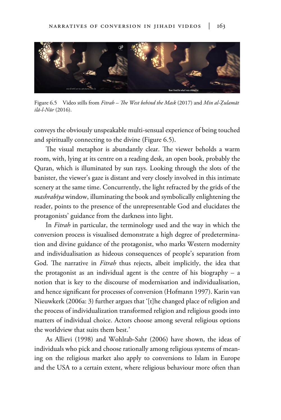

Figure 6.5 Video stills from *Fitrah – The West behind the Mask* (2017) and *Min al-Êulamāt ilā-l-Nūr* (2016).

conveys the obviously unspeakable multi-sensual experience of being touched and spiritually connecting to the divine (Figure 6.5).

The visual metaphor is abundantly clear. The viewer beholds a warm room, with, lying at its centre on a reading desk, an open book, probably the Quran, which is illuminated by sun rays. Looking through the slots of the banister, the viewer's gaze is distant and very closely involved in this intimate scenery at the same time. Concurrently, the light refracted by the grids of the *mashrabīya* window, illuminating the book and symbolically enlightening the reader, points to the presence of the unrepresentable God and elucidates the protagonists' guidance from the darkness into light.

In *Fitrah* in particular, the terminology used and the way in which the conversion process is visualised demonstrate a high degree of predetermination and divine guidance of the protagonist, who marks Western modernity and individualisation as hideous consequences of people's separation from God. The narrative in *Fitrah* thus rejects, albeit implicitly, the idea that the protagonist as an individual agent is the centre of his biography – a notion that is key to the discourse of modernisation and individualisation, and hence significant for processes of conversion (Hofmann 1997). Karin van Nieuwkerk (2006a: 3) further argues that '[t]he changed place of religion and the process of individualization transformed religion and religious goods into matters of individual choice. Actors choose among several religious options the worldview that suits them best.'

As Allievi (1998) and Wohlrab-Sahr (2006) have shown, the ideas of individuals who pick and choose rationally among religious systems of meaning on the religious market also apply to conversions to Islam in Europe and the USA to a certain extent, where religious behaviour more often than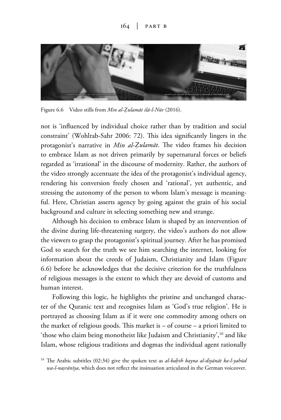#### $164$  | PART B



Figure 6.6 Video stills from *Min al-Êulamāt ilā-l-Nūr* (2016).

not is 'influenced by individual choice rather than by tradition and social constraint' (Wohlrab-Sahr 2006: 72). This idea significantly lingers in the protagonist's narrative in *Min al-Êulamāt*. The video frames his decision to embrace Islam as not driven primarily by supernatural forces or beliefs regarded as 'irrational' in the discourse of modernity. Rather, the authors of the video strongly accentuate the idea of the protagonist's individual agency, rendering his conversion freely chosen and 'rational', yet authentic, and stressing the autonomy of the person to whom Islam's message is meaningful. Here, Christian asserts agency by going against the grain of his social background and culture in selecting something new and strange.

Although his decision to embrace Islam is shaped by an intervention of the divine during life-threatening surgery, the video's authors do not allow the viewers to grasp the protagonist's spiritual journey. After he has promised God to search for the truth we see him searching the internet, looking for information about the creeds of Judaism, Christianity and Islam (Figure 6.6) before he acknowledges that the decisive criterion for the truthfulness of religious messages is the extent to which they are devoid of customs and human interest.

Following this logic, he highlights the pristine and unchanged character of the Quranic text and recognises Islam as 'God's true religion'. He is portrayed as choosing Islam as if it were one commodity among others on the market of religious goods. This market is – of course – a priori limited to 'those who claim being monotheist like Judaism and Christianity',<sup>10</sup> and like Islam, whose religious traditions and dogmas the individual agent rationally

<sup>10</sup> The Arabic subtitles (02:34) give the spoken text as *al-baªth bayna al-diyānāt ka-l-yahūd wa-l-na'rānīya*, which does not reflect the insinuation articulated in the German voiceover.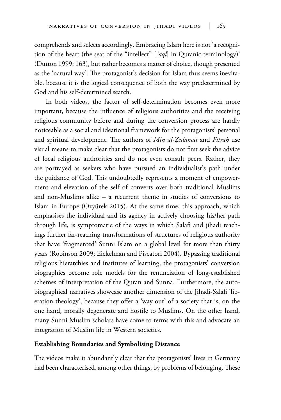comprehends and selects accordingly. Embracing Islam here is not 'a recognition of the heart (the seat of the "intellect" [*ʿaql*] in Quranic terminology)' (Dutton 1999: 163), but rather becomes a matter of choice, though presented as the 'natural way'. The protagonist's decision for Islam thus seems inevitable, because it is the logical consequence of both the way predetermined by God and his self-determined search.

In both videos, the factor of self-determination becomes even more important, because the influence of religious authorities and the receiving religious community before and during the conversion process are hardly noticeable as a social and ideational framework for the protagonists' personal and spiritual development. The authors of *Min al-Êulamāt* and *Fitrah* use visual means to make clear that the protagonists do not first seek the advice of local religious authorities and do not even consult peers. Rather, they are portrayed as seekers who have pursued an individualist's path under the guidance of God. This undoubtedly represents a moment of empowerment and elevation of the self of converts over both traditional Muslims and non-Muslims alike – a recurrent theme in studies of conversions to Islam in Europe (Özyürek 2015). At the same time, this approach, which emphasises the individual and its agency in actively choosing his/her path through life, is symptomatic of the ways in which Salafi and jihadi teachings further far-reaching transformations of structures of religious authority that have 'fragmented' Sunni Islam on a global level for more than thirty years (Robinson 2009; Eickelman and Piscatori 2004). Bypassing traditional religious hierarchies and institutes of learning, the protagonists' conversion biographies become role models for the renunciation of long-established schemes of interpretation of the Quran and Sunna. Furthermore, the autobiographical narratives showcase another dimension of the Jihadi-Salafi 'liberation theology', because they offer a 'way out' of a society that is, on the one hand, morally degenerate and hostile to Muslims. On the other hand, many Sunni Muslim scholars have come to terms with this and advocate an integration of Muslim life in Western societies.

#### **Establishing Boundaries and Symbolising Distance**

The videos make it abundantly clear that the protagonists' lives in Germany had been characterised, among other things, by problems of belonging. These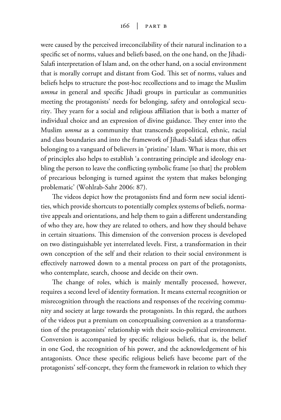were caused by the perceived irreconcilability of their natural inclination to a specific set of norms, values and beliefs based, on the one hand, on the Jihadi-Salafi interpretation of Islam and, on the other hand, on a social environment that is morally corrupt and distant from God. This set of norms, values and beliefs helps to structure the post-hoc recollections and to image the Muslim *umma* in general and specific Jihadi groups in particular as communities meeting the protagonists' needs for belonging, safety and ontological security. They yearn for a social and religious affiliation that is both a matter of individual choice and an expression of divine guidance. They enter into the Muslim *umma* as a community that transcends geopolitical, ethnic, racial and class boundaries and into the framework of Jihadi-Salafi ideas that offers belonging to a vanguard of believers in 'pristine' Islam. What is more, this set of principles also helps to establish 'a contrasting principle and ideology enabling the person to leave the conflicting symbolic frame [so that] the problem of precarious belonging is turned against the system that makes belonging problematic' (Wohlrab-Sahr 2006: 87).

The videos depict how the protagonists find and form new social identities, which provide shortcuts to potentially complex systems of beliefs, normative appeals and orientations, and help them to gain a different understanding of who they are, how they are related to others, and how they should behave in certain situations. This dimension of the conversion process is developed on two distinguishable yet interrelated levels. First, a transformation in their own conception of the self and their relation to their social environment is effectively narrowed down to a mental process on part of the protagonists, who contemplate, search, choose and decide on their own.

The change of roles, which is mainly mentally processed, however, requires a second level of identity formation. It means external recognition or misrecognition through the reactions and responses of the receiving community and society at large towards the protagonists. In this regard, the authors of the videos put a premium on conceptualising conversion as a transformation of the protagonists' relationship with their socio-political environment. Conversion is accompanied by specific religious beliefs, that is, the belief in one God, the recognition of his power, and the acknowledgement of his antagonists. Once these specific religious beliefs have become part of the protagonists' self-concept, they form the framework in relation to which they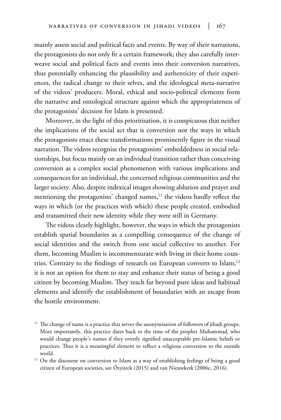mainly assess social and political facts and events. By way of their narrations, the protagonists do not only fit a certain framework; they also carefully interweave social and political facts and events into their conversion narratives, thus potentially enhancing the plausibility and authenticity of their experiences, the radical change to their selves, and the ideological meta-narrative of the videos' producers. Moral, ethical and socio-political elements form the narrative and ontological structure against which the appropriateness of the protagonists' decision for Islam is presented.

Moreover, in the light of this prioritisation, it is conspicuous that neither the implications of the social act that is conversion nor the ways in which the protagonists enact these transformations prominently figure in the visual narration. The videos recognise the protagonists' embeddedness in social relationships, but focus mainly on an individual transition rather than conceiving conversion as a complex social phenomenon with various implications and consequences for an individual, the concerned religious communities and the larger society. Also, despite indexical images showing ablution and prayer and mentioning the protagonists' changed names,<sup>11</sup> the videos hardly reflect the ways in which (or the practices with which) these people created, embodied and transmitted their new identity while they were still in Germany.

The videos clearly highlight, however, the ways in which the protagonists establish spatial boundaries as a compelling consequence of the change of social identities and the switch from one social collective to another. For them, becoming Muslim is incommensurate with living in their home countries. Contrary to the findings of research on European converts to Islam,<sup>12</sup> it is not an option for them to stay and enhance their status of being a good citizen by becoming Muslim. They reach far beyond pure ideas and habitual elements and identify the establishment of boundaries with an escape from the hostile environment.

 $11$  The change of name is a practice that serves the anonymisation of followers of jihadi groups. More importantly, this practice dates back to the time of the prophet Muhammad, who would change people's names if they overtly signified unacceptable pre-Islamic beliefs or practices. Thus it is a meaningful element to reflect a religious conversion to the outside world.

<sup>&</sup>lt;sup>12</sup> On the discourse on conversion to Islam as a way of establishing feelings of being a good citizen of European societies, see Özyürek (2015) and van Nieuwkerk (2006c, 2016).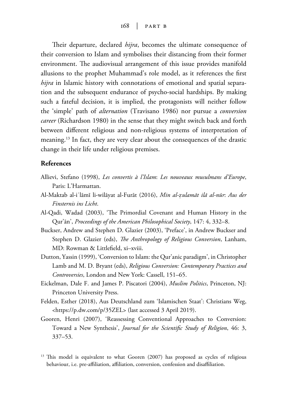Their departure, declared *hijra*, becomes the ultimate consequence of their conversion to Islam and symbolises their distancing from their former environment. The audiovisual arrangement of this issue provides manifold allusions to the prophet Muhammad's role model, as it references the first *hijra* in Islamic history with connotations of emotional and spatial separation and the subsequent endurance of psycho-social hardships. By making such a fateful decision, it is implied, the protagonists will neither follow the 'simple' path of *alternation* (Travisano 1986) nor pursue a *conversion career* (Richardson 1980) in the sense that they might switch back and forth between different religious and non-religious systems of interpretation of meaning.<sup>13</sup> In fact, they are very clear about the consequences of the drastic change in their life under religious premises.

#### **References**

- Allievi, Stefano (1998), *Les convertis à l'Islam*: *Les nouveaux musulmans d'Europe*, Paris: L'Harmattan.
- Al-Maktab al-iʿlāmī li-wilāyat al-Furāt (2016), *Min al-Õulamāt ilā al-nūr*: *Aus der Finsternis ins Licht*.
- Al-Qadi, Wadad (2003), 'The Primordial Covenant and Human History in the Qur'ān', *Proceedings of the American Philosophical Society*, 147: 4, 332–8.
- Buckser, Andrew and Stephen D. Glazier (2003), 'Preface', in Andrew Buckser and Stephen D. Glazier (eds), *The Anthropology of Religious Conversion*, Lanham, MD: Rowman & Littlefield, xi–xviii.
- Dutton, Yassin (1999), 'Conversion to Islam: the Qur'anic paradigm', in Christopher Lamb and M. D. Bryant (eds), *Religious Conversion: Contemporary Practices and Controversies*, London and New York: Cassell, 151–65.
- Eickelman, Dale F. and James P. Piscatori (2004), *Muslim Politics*, Princeton, NJ: Princeton University Press.
- Felden, Esther (2018), Aus Deutschland zum 'Islamischen Staat': Christians Weg, <https://p.dw.com/p/35ZEL> (last accessed 3 April 2019).
- Gooren, Henri (2007), 'Reassessing Conventional Approaches to Conversion: Toward a New Synthesis', *Journal for the Scientific Study of Religion*, 46: 3, 337–53.

<sup>&</sup>lt;sup>13</sup> This model is equivalent to what Gooren (2007) has proposed as cycles of religious behaviour, i.e. pre-affiliation, affiliation, conversion, confession and disaffiliation.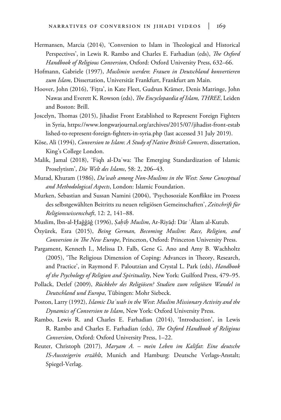- Hermansen, Marcia (2014), 'Conversion to Islam in Theological and Historical Perspectives', in Lewis R. Rambo and Charles E. Farhadian (eds), *The Oxford Handbook of Religious Conversion*, Oxford: Oxford University Press, 632–66.
- Hofmann, Gabriele (1997), *Muslimin werden*: *Frauen in Deutschland konvertieren zum Islam*, Dissertation, Universität Frankfurt, Frankfurt am Main.
- Hoover, John (2016), 'Fitra', in Kate Fleet, Gudrun Krämer, Denis Matringe, John Nawas and Everett K. Rowson (eds), *The Encyclopaedia of Islam, THREE*, Leiden and Boston: Brill.
- Joscelyn, Thomas (2015), Jihadist Front Established to Represent Foreign Fighters in Syria, https://www.longwarjournal.org/archives/2015/07/jihadist-front-estab lished-to-represent-foreign-fighters-in-syria.php (last accessed 31 July 2019).
- Köse, Ali (1994), *Conversion to Islam*: *A Study of Native British Converts*, dissertation, King's College London.
- Malik, Jamal (2018), 'Fiqh al-Daʿwa: The Emerging Standardization of Islamic Proselytism', *Die Welt des Islams*, 58: 2, 206–43.
- Murad, Khuram (1986), *Da'wah among Non-Muslims in the West*: *Some Conceptual and Methodological Aspects*, London: Islamic Foundation.
- Murken, Sebastian and Sussan Namini (2004), 'Psychosoziale Konflikte im Prozess des selbstgewählten Beitritts zu neuen religiösen Gemeinschaften', *Zeitschrift für Religionswissenschaft*, 12: 2, 141–88.
- Muslim, Ibn-al-Haǧǧāǧ (1996), *Sahīh Muslim*, Ar-Riyād: Dār ʿĀlam al-Kutub.
- Özyürek, Esra (2015), *Being German, Becoming Muslim*: *Race, Religion, and Conversion in The New Europe*, Princeton, Oxford: Princeton University Press.
- Pargament, Kenneth I., Melissa D. Falb, Gene G. Ano and Amy B. Wachholtz (2005), 'The Religious Dimension of Coping: Advances in Theory, Research, and Practice', in Raymond F. Paloutzian and Crystal L. Park (eds), *Handbook of the Psychology of Religion and Spirituality*, New York: Guilford Press, 479–95.
- Pollack, Detlef (2009), *Rückkehr des Religiösen? Studien zum religiösen Wandel in Deutschland und Europa*, Tübingen: Mohr Siebeck.
- Poston, Larry (1992), *Islamic Daʿwah in the West*: *Muslim Missionary Activity and the Dynamics of Conversion to Islam*, New York: Oxford University Press.
- Rambo, Lewis R. and Charles E. Farhadian (2014), 'Introduction', in Lewis R. Rambo and Charles E. Farhadian (eds), *The Oxford Handbook of Religious Conversion*, Oxford: Oxford University Press, 1–22.
- Reuter, Christoph (2017), *Maryam A. mein Leben im Kalifat*: *Eine deutsche IS-Aussteigerin erzählt*, Munich and Hamburg: Deutsche Verlags-Anstalt; Spiegel-Verlag.